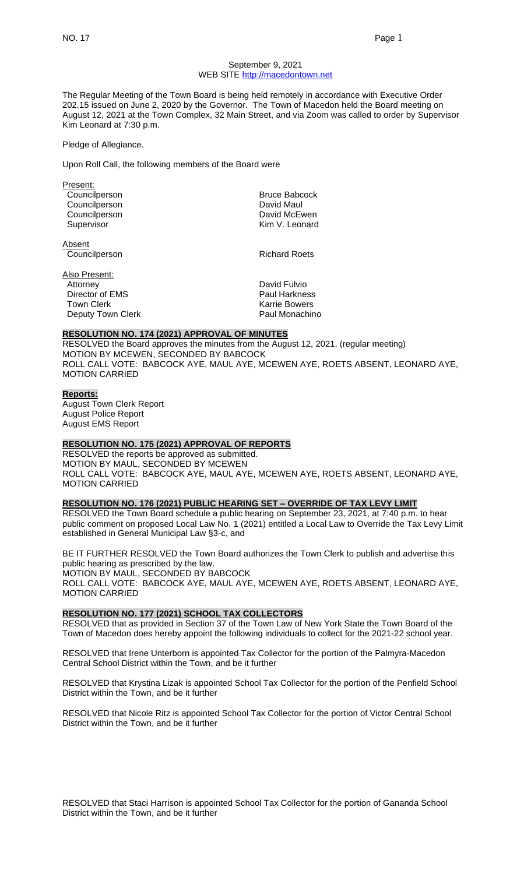#### September 9, 2021 WEB SITE [http://macedontown.net](http://macedontown.net/)

The Regular Meeting of the Town Board is being held remotely in accordance with Executive Order 202.15 issued on June 2, 2020 by the Governor. The Town of Macedon held the Board meeting on August 12, 2021 at the Town Complex, 32 Main Street, and via Zoom was called to order by Supervisor Kim Leonard at 7:30 p.m.

Pledge of Allegiance.

Upon Roll Call, the following members of the Board were

| Present:      |                      |
|---------------|----------------------|
| Councilperson | <b>Bruce Babcock</b> |
| Councilperson | David Maul           |
| Councilperson | David McEwen         |
| Supervisor    | Kim V. Leonard       |
| Absent        |                      |
| Councilperson | <b>Richard Roets</b> |
|               |                      |

Also Present: Attorney **David Fulvio** Director of EMS Paul Harkness Town Clerk **Karrie Bowers** Deputy Town Clerk **Paul Monachino** 

### **RESOLUTION NO. 174 (2021) APPROVAL OF MINUTES**

RESOLVED the Board approves the minutes from the August 12, 2021, (regular meeting) MOTION BY MCEWEN, SECONDED BY BABCOCK ROLL CALL VOTE: BABCOCK AYE, MAUL AYE, MCEWEN AYE, ROETS ABSENT, LEONARD AYE, MOTION CARRIED

#### **Reports:** August Town Clerk Report August Police Report August EMS Report

## **RESOLUTION NO. 175 (2021) APPROVAL OF REPORTS**

RESOLVED the reports be approved as submitted. MOTION BY MAUL, SECONDED BY MCEWEN ROLL CALL VOTE: BABCOCK AYE, MAUL AYE, MCEWEN AYE, ROETS ABSENT, LEONARD AYE, MOTION CARRIED

#### **RESOLUTION NO. 176 (2021) PUBLIC HEARING SET – OVERRIDE OF TAX LEVY LIMIT**

RESOLVED the Town Board schedule a public hearing on September 23, 2021, at 7:40 p.m. to hear public comment on proposed Local Law No. 1 (2021) entitled a Local Law to Override the Tax Levy Limit established in General Municipal Law §3-c, and

BE IT FURTHER RESOLVED the Town Board authorizes the Town Clerk to publish and advertise this public hearing as prescribed by the law. MOTION BY MAUL, SECONDED BY BABCOCK

ROLL CALL VOTE: BABCOCK AYE, MAUL AYE, MCEWEN AYE, ROETS ABSENT, LEONARD AYE, MOTION CARRIED

#### **RESOLUTION NO. 177 (2021) SCHOOL TAX COLLECTORS**

RESOLVED that as provided in Section 37 of the Town Law of New York State the Town Board of the Town of Macedon does hereby appoint the following individuals to collect for the 2021-22 school year.

RESOLVED that Irene Unterborn is appointed Tax Collector for the portion of the Palmyra-Macedon Central School District within the Town, and be it further

RESOLVED that Krystina Lizak is appointed School Tax Collector for the portion of the Penfield School District within the Town, and be it further

RESOLVED that Nicole Ritz is appointed School Tax Collector for the portion of Victor Central School District within the Town, and be it further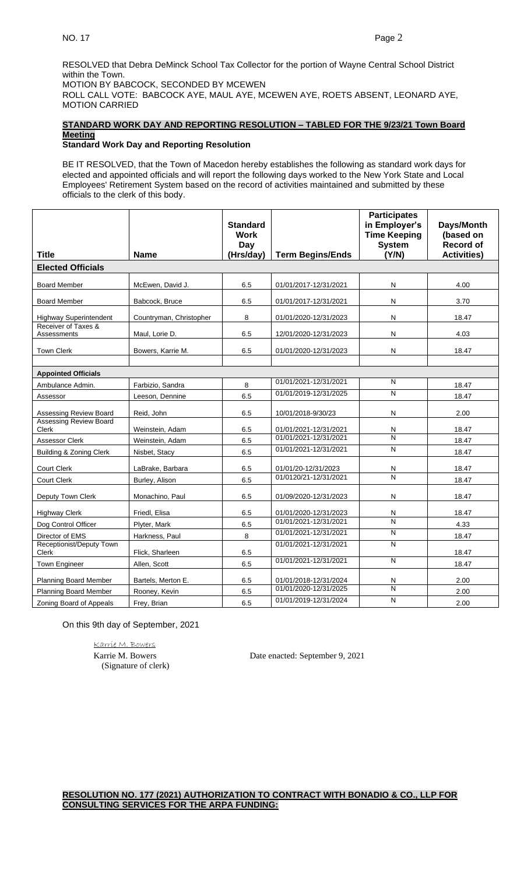RESOLVED that Debra DeMinck School Tax Collector for the portion of Wayne Central School District within the Town. MOTION BY BABCOCK, SECONDED BY MCEWEN ROLL CALL VOTE: BABCOCK AYE, MAUL AYE, MCEWEN AYE, ROETS ABSENT, LEONARD AYE, MOTION CARRIED

# **STANDARD WORK DAY AND REPORTING RESOLUTION – TABLED FOR THE 9/23/21 Town Board Meeting**

### **Standard Work Day and Reporting Resolution**

BE IT RESOLVED, that the Town of Macedon hereby establishes the following as standard work days for elected and appointed officials and will report the following days worked to the New York State and Local Employees' Retirement System based on the record of activities maintained and submitted by these officials to the clerk of this body.

|                                    |                         | <b>Standard</b><br><b>Work</b><br>Day |                                                | <b>Participates</b><br>in Employer's<br><b>Time Keeping</b><br><b>System</b> | Days/Month<br>(based on<br><b>Record of</b> |  |
|------------------------------------|-------------------------|---------------------------------------|------------------------------------------------|------------------------------------------------------------------------------|---------------------------------------------|--|
| <b>Title</b>                       | <b>Name</b>             | (Hrs/day)                             | <b>Term Begins/Ends</b>                        | (Y/N)                                                                        | <b>Activities)</b>                          |  |
| <b>Elected Officials</b>           |                         |                                       |                                                |                                                                              |                                             |  |
| <b>Board Member</b>                | McEwen, David J.        | 6.5                                   | 01/01/2017-12/31/2021                          | N                                                                            | 4.00                                        |  |
| <b>Board Member</b>                | Babcock, Bruce          | 6.5                                   | 01/01/2017-12/31/2021                          | N                                                                            | 3.70                                        |  |
| <b>Highway Superintendent</b>      | Countryman, Christopher | 8                                     | 01/01/2020-12/31/2023                          | N                                                                            | 18.47                                       |  |
| Receiver of Taxes &<br>Assessments | Maul, Lorie D.          | 6.5                                   | 12/01/2020-12/31/2023                          | N                                                                            | 4.03                                        |  |
| <b>Town Clerk</b>                  | Bowers, Karrie M.       | 6.5                                   | 01/01/2020-12/31/2023                          | N                                                                            | 18.47                                       |  |
|                                    |                         |                                       |                                                |                                                                              |                                             |  |
| <b>Appointed Officials</b>         |                         |                                       | 01/01/2021-12/31/2021                          | N                                                                            |                                             |  |
| Ambulance Admin.                   | Farbizio, Sandra        | 8                                     | 01/01/2019-12/31/2025                          | N                                                                            | 18.47                                       |  |
| Assessor                           | Leeson, Dennine         | 6.5                                   |                                                |                                                                              | 18.47                                       |  |
| Assessing Review Board             | Reid, John              | 6.5                                   | 10/01/2018-9/30/23                             | N                                                                            | 2.00                                        |  |
| <b>Assessing Review Board</b>      |                         |                                       |                                                |                                                                              |                                             |  |
| Clerk                              | Weinstein, Adam         | 6.5                                   | 01/01/2021-12/31/2021<br>01/01/2021-12/31/2021 | N<br>N                                                                       | 18.47                                       |  |
| <b>Assessor Clerk</b>              | Weinstein, Adam         | 6.5                                   | 01/01/2021-12/31/2021                          | N                                                                            | 18.47                                       |  |
| Building & Zoning Clerk            | Nisbet, Stacy           | 6.5                                   |                                                |                                                                              | 18.47                                       |  |
| <b>Court Clerk</b>                 | LaBrake, Barbara        | 6.5                                   | 01/01/20-12/31/2023                            | N                                                                            | 18.47                                       |  |
| <b>Court Clerk</b>                 | Burley, Alison          | 6.5                                   | 01/0120/21-12/31/2021                          | $\overline{\mathsf{N}}$                                                      | 18.47                                       |  |
| Deputy Town Clerk                  | Monachino, Paul         | 6.5                                   | 01/09/2020-12/31/2023                          | N                                                                            | 18.47                                       |  |
| <b>Highway Clerk</b>               | Friedl, Elisa           | 6.5                                   | 01/01/2020-12/31/2023                          | N                                                                            | 18.47                                       |  |
| Dog Control Officer                | Plyter, Mark            | 6.5                                   | 01/01/2021-12/31/2021                          | N                                                                            | 4.33                                        |  |
| Director of EMS                    | Harkness, Paul          | 8                                     | 01/01/2021-12/31/2021                          | N                                                                            | 18.47                                       |  |
| Receptionist/Deputy Town           |                         |                                       | 01/01/2021-12/31/2021                          | N                                                                            |                                             |  |
| Clerk                              | Flick, Sharleen         | 6.5                                   | 01/01/2021-12/31/2021                          | $\overline{\mathsf{N}}$                                                      | 18.47                                       |  |
| <b>Town Engineer</b>               | Allen, Scott            | 6.5                                   |                                                |                                                                              | 18.47                                       |  |
| <b>Planning Board Member</b>       | Bartels. Merton E.      | 6.5                                   | 01/01/2018-12/31/2024                          | N                                                                            | 2.00                                        |  |
| <b>Planning Board Member</b>       | Rooney, Kevin           | 6.5                                   | 01/01/2020-12/31/2025                          | N                                                                            | 2.00                                        |  |
| Zoning Board of Appeals            | Frey, Brian             | 6.5                                   | 01/01/2019-12/31/2024                          | N                                                                            | 2.00                                        |  |
|                                    |                         |                                       |                                                |                                                                              |                                             |  |

On this 9th day of September, 2021

Karrie M. Bowers (Signature of clerk)

Karrie M. Bowers Date enacted: September 9, 2021

**RESOLUTION NO. 177 (2021) AUTHORIZATION TO CONTRACT WITH BONADIO & CO., LLP FOR CONSULTING SERVICES FOR THE ARPA FUNDING:**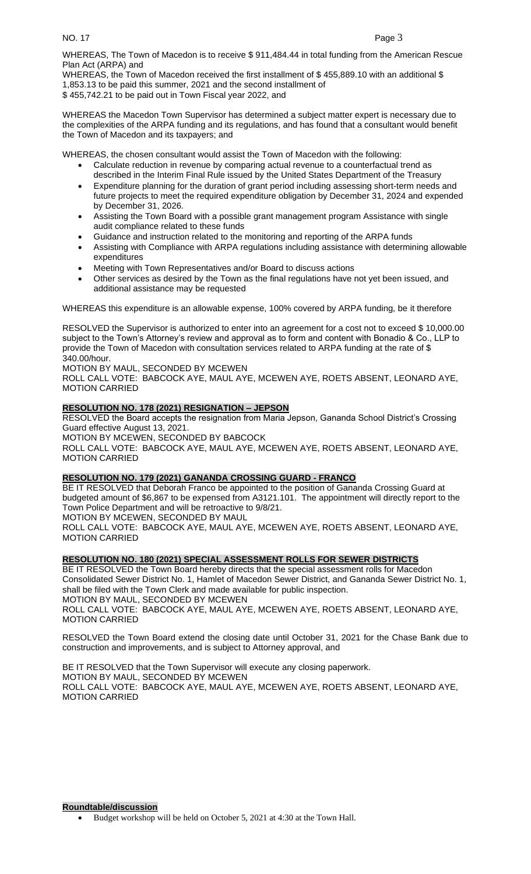WHEREAS, The Town of Macedon is to receive \$ 911,484.44 in total funding from the American Rescue Plan Act (ARPA) and

WHEREAS, the Town of Macedon received the first installment of \$ 455,889.10 with an additional \$ 1,853.13 to be paid this summer, 2021 and the second installment of \$ 455,742.21 to be paid out in Town Fiscal year 2022, and

WHEREAS the Macedon Town Supervisor has determined a subject matter expert is necessary due to the complexities of the ARPA funding and its regulations, and has found that a consultant would benefit the Town of Macedon and its taxpayers; and

WHEREAS, the chosen consultant would assist the Town of Macedon with the following:

- Calculate reduction in revenue by comparing actual revenue to a counterfactual trend as described in the Interim Final Rule issued by the United States Department of the Treasury
- Expenditure planning for the duration of grant period including assessing short-term needs and future projects to meet the required expenditure obligation by December 31, 2024 and expended by December 31, 2026.
- Assisting the Town Board with a possible grant management program Assistance with single audit compliance related to these funds
- Guidance and instruction related to the monitoring and reporting of the ARPA funds
- Assisting with Compliance with ARPA regulations including assistance with determining allowable expenditures
- Meeting with Town Representatives and/or Board to discuss actions
- Other services as desired by the Town as the final regulations have not yet been issued, and additional assistance may be requested

WHEREAS this expenditure is an allowable expense, 100% covered by ARPA funding, be it therefore

RESOLVED the Supervisor is authorized to enter into an agreement for a cost not to exceed \$10,000.00 subject to the Town's Attorney's review and approval as to form and content with Bonadio & Co., LLP to provide the Town of Macedon with consultation services related to ARPA funding at the rate of \$ 340.00/hour.

MOTION BY MAUL, SECONDED BY MCEWEN

ROLL CALL VOTE: BABCOCK AYE, MAUL AYE, MCEWEN AYE, ROETS ABSENT, LEONARD AYE, MOTION CARRIED

# **RESOLUTION NO. 178 (2021) RESIGNATION – JEPSON**

RESOLVED the Board accepts the resignation from Maria Jepson, Gananda School District's Crossing Guard effective August 13, 2021.

MOTION BY MCEWEN, SECONDED BY BABCOCK

ROLL CALL VOTE: BABCOCK AYE, MAUL AYE, MCEWEN AYE, ROETS ABSENT, LEONARD AYE, MOTION CARRIED

# **RESOLUTION NO. 179 (2021) GANANDA CROSSING GUARD - FRANCO**

BE IT RESOLVED that Deborah Franco be appointed to the position of Gananda Crossing Guard at budgeted amount of \$6,867 to be expensed from A3121.101. The appointment will directly report to the Town Police Department and will be retroactive to 9/8/21.

MOTION BY MCEWEN, SECONDED BY MAUL

ROLL CALL VOTE: BABCOCK AYE, MAUL AYE, MCEWEN AYE, ROETS ABSENT, LEONARD AYE, MOTION CARRIED

# **RESOLUTION NO. 180 (2021) SPECIAL ASSESSMENT ROLLS FOR SEWER DISTRICTS**

BE IT RESOLVED the Town Board hereby directs that the special assessment rolls for Macedon Consolidated Sewer District No. 1, Hamlet of Macedon Sewer District, and Gananda Sewer District No. 1, shall be filed with the Town Clerk and made available for public inspection.

MOTION BY MAUL, SECONDED BY MCEWEN

ROLL CALL VOTE: BABCOCK AYE, MAUL AYE, MCEWEN AYE, ROETS ABSENT, LEONARD AYE, MOTION CARRIED

RESOLVED the Town Board extend the closing date until October 31, 2021 for the Chase Bank due to construction and improvements, and is subject to Attorney approval, and

BE IT RESOLVED that the Town Supervisor will execute any closing paperwork. MOTION BY MAUL, SECONDED BY MCEWEN ROLL CALL VOTE: BABCOCK AYE, MAUL AYE, MCEWEN AYE, ROETS ABSENT, LEONARD AYE, MOTION CARRIED

### **Roundtable/discussion**

• Budget workshop will be held on October 5, 2021 at 4:30 at the Town Hall.